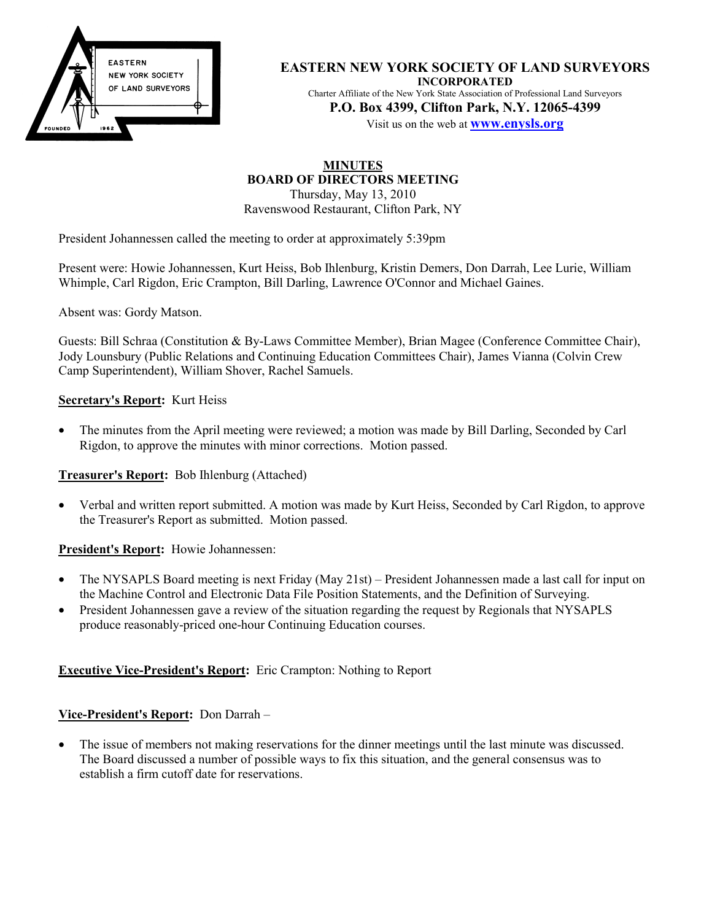

**EASTERN NEW YORK SOCIETY OF LAND SURVEYORS INCORPORATED** Charter Affiliate of the New York State Association of Professional Land Surveyors **P.O. Box 4399, Clifton Park, N.Y. 12065-4399**

Visit us on the web at **www.enysls.org**

## **MINUTES BOARD OF DIRECTORS MEETING**

Thursday, May 13, 2010 Ravenswood Restaurant, Clifton Park, NY

President Johannessen called the meeting to order at approximately 5:39pm

Present were: Howie Johannessen, Kurt Heiss, Bob Ihlenburg, Kristin Demers, Don Darrah, Lee Lurie, William Whimple, Carl Rigdon, Eric Crampton, Bill Darling, Lawrence O'Connor and Michael Gaines.

Absent was: Gordy Matson.

Guests: Bill Schraa (Constitution & By-Laws Committee Member), Brian Magee (Conference Committee Chair), Jody Lounsbury (Public Relations and Continuing Education Committees Chair), James Vianna (Colvin Crew Camp Superintendent), William Shover, Rachel Samuels.

#### **Secretary's Report:** Kurt Heiss

• The minutes from the April meeting were reviewed; a motion was made by Bill Darling, Seconded by Carl Rigdon, to approve the minutes with minor corrections. Motion passed.

#### **Treasurer's Report:** Bob Ihlenburg (Attached)

• Verbal and written report submitted. A motion was made by Kurt Heiss, Seconded by Carl Rigdon, to approve the Treasurer's Report as submitted. Motion passed.

**President's Report:** Howie Johannessen:

- The NYSAPLS Board meeting is next Friday (May 21st) President Johannessen made a last call for input on the Machine Control and Electronic Data File Position Statements, and the Definition of Surveying.
- President Johannessen gave a review of the situation regarding the request by Regionals that NYSAPLS produce reasonably-priced one-hour Continuing Education courses.

## **Executive Vice-President's Report:** Eric Crampton: Nothing to Report

## **Vice-President's Report:** Don Darrah –

• The issue of members not making reservations for the dinner meetings until the last minute was discussed. The Board discussed a number of possible ways to fix this situation, and the general consensus was to establish a firm cutoff date for reservations.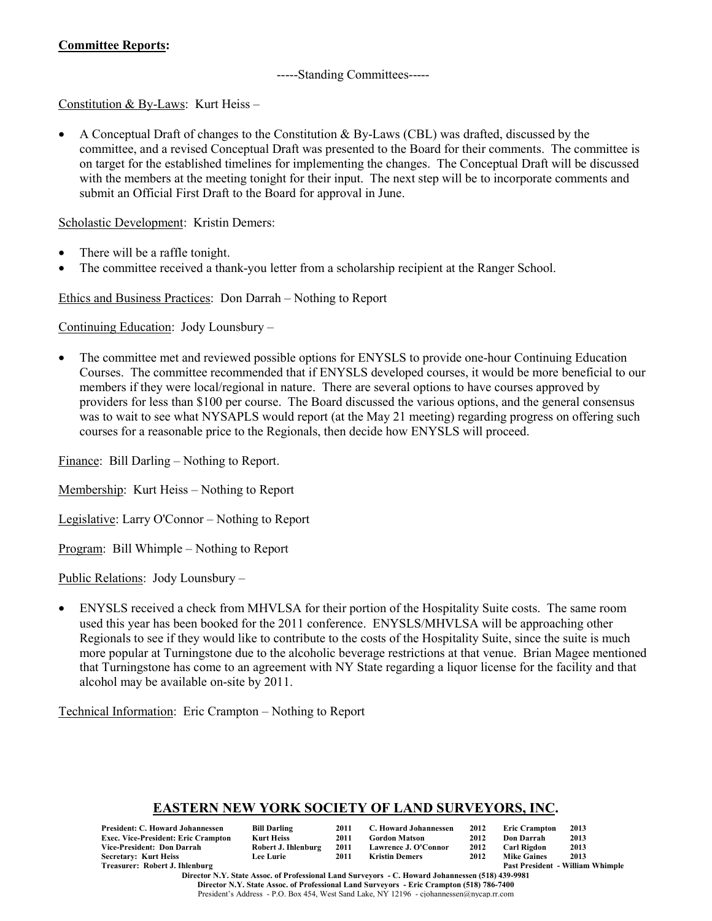## **Committee Reports:**

-----Standing Committees-----

Constitution & By-Laws: Kurt Heiss –

• A Conceptual Draft of changes to the Constitution  $\&$  By-Laws (CBL) was drafted, discussed by the committee, and a revised Conceptual Draft was presented to the Board for their comments. The committee is on target for the established timelines for implementing the changes. The Conceptual Draft will be discussed with the members at the meeting tonight for their input. The next step will be to incorporate comments and submit an Official First Draft to the Board for approval in June.

Scholastic Development: Kristin Demers:

- There will be a raffle tonight.
- The committee received a thank-you letter from a scholarship recipient at the Ranger School.

Ethics and Business Practices: Don Darrah – Nothing to Report

Continuing Education: Jody Lounsbury –

• The committee met and reviewed possible options for ENYSLS to provide one-hour Continuing Education Courses. The committee recommended that if ENYSLS developed courses, it would be more beneficial to our members if they were local/regional in nature. There are several options to have courses approved by providers for less than \$100 per course. The Board discussed the various options, and the general consensus was to wait to see what NYSAPLS would report (at the May 21 meeting) regarding progress on offering such courses for a reasonable price to the Regionals, then decide how ENYSLS will proceed.

Finance: Bill Darling – Nothing to Report.

Membership: Kurt Heiss – Nothing to Report

Legislative: Larry O'Connor – Nothing to Report

Program: Bill Whimple – Nothing to Report

Public Relations: Jody Lounsbury –

• ENYSLS received a check from MHVLSA for their portion of the Hospitality Suite costs. The same room used this year has been booked for the 2011 conference. ENYSLS/MHVLSA will be approaching other Regionals to see if they would like to contribute to the costs of the Hospitality Suite, since the suite is much more popular at Turningstone due to the alcoholic beverage restrictions at that venue. Brian Magee mentioned that Turningstone has come to an agreement with NY State regarding a liquor license for the facility and that alcohol may be available on-site by 2011.

Technical Information: Eric Crampton – Nothing to Report

## **EASTERN NEW YORK SOCIETY OF LAND SURVEYORS, INC.**

| President: C. Howard Johannessen    | <b>Bill Darling</b> | 2011 | C. Howard Johannessen | 2012 | <b>Eric Crampton</b> | 2013                                    |
|-------------------------------------|---------------------|------|-----------------------|------|----------------------|-----------------------------------------|
| Exec. Vice-President: Eric Crampton | Kurt Heiss          | 2011 | Gordon Matson         | 2012 | Don Darrah           | 2013                                    |
| Vice-President: Don Darrah          | Robert J. Ihlenburg | 2011 | Lawrence J. O'Connor  | 2012 | Carl Rigdon          | 2013                                    |
| Secretary: Kurt Heiss               | <b>Lee Lurie</b>    | 2011 | Kristin Demers        | 2012 | <b>Mike Gaines</b>   | 2013                                    |
| Treasurer: Robert J. Ihlenburg      |                     |      |                       |      |                      | <b>Past President - William Whimple</b> |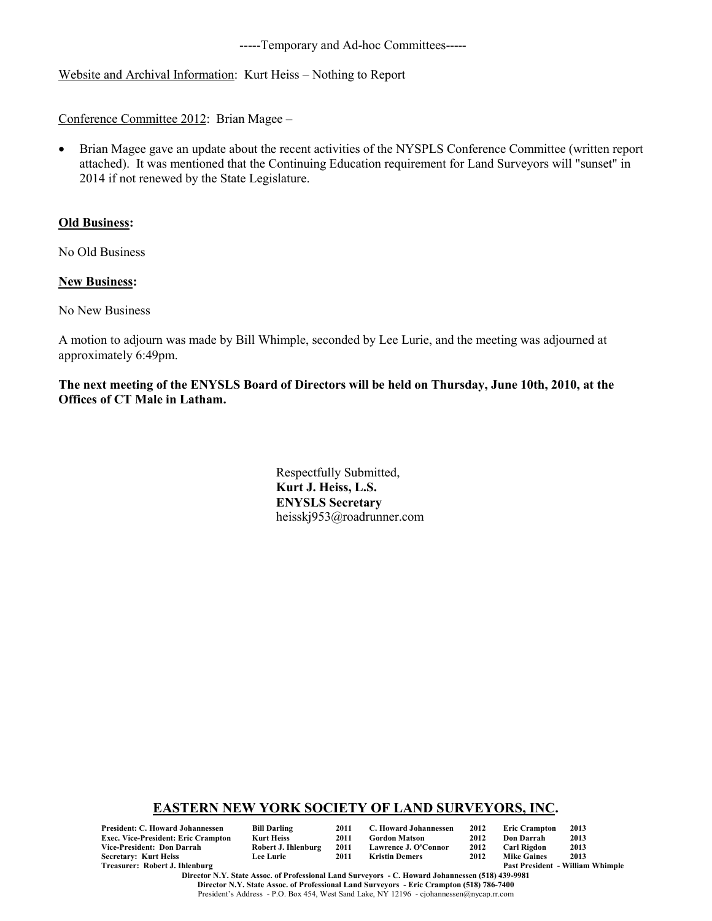-----Temporary and Ad-hoc Committees-----

### Website and Archival Information: Kurt Heiss – Nothing to Report

Conference Committee 2012: Brian Magee –

• Brian Magee gave an update about the recent activities of the NYSPLS Conference Committee (written report attached). It was mentioned that the Continuing Education requirement for Land Surveyors will "sunset" in 2014 if not renewed by the State Legislature.

#### **Old Business:**

No Old Business

#### **New Business:**

No New Business

A motion to adjourn was made by Bill Whimple, seconded by Lee Lurie, and the meeting was adjourned at approximately 6:49pm.

**The next meeting of the ENYSLS Board of Directors will be held on Thursday, June 10th, 2010, at the Offices of CT Male in Latham.**

> Respectfully Submitted, **Kurt J. Heiss, L.S. ENYSLS Secretary** heisskj953@roadrunner.com

#### **EASTERN NEW YORK SOCIETY OF LAND SURVEYORS, INC.**

| President: C. Howard Johannessen    | <b>Bill Darling</b> | 2011 | C. Howard Johannessen | 2012 | <b>Eric Crampton</b> | 2013                                    |
|-------------------------------------|---------------------|------|-----------------------|------|----------------------|-----------------------------------------|
| Exec. Vice-President: Eric Crampton | Kurt Heiss          | 2011 | <b>Gordon Matson</b>  | 2012 | Don Darrah           | 2013                                    |
| Vice-President: Don Darrah          | Robert J. Ihlenburg | 2011 | Lawrence J. O'Connor  | 2012 | Carl Rigdon          | 2013                                    |
| Secretary: Kurt Heiss               | <b>Lee Lurie</b>    | 2011 | Kristin Demers        | 2012 | <b>Mike Gaines</b>   | 2013                                    |
| Treasurer: Robert J. Ihlenburg      |                     |      |                       |      |                      | <b>Past President - William Whimple</b> |

**Director N.Y. State Assoc. of Professional Land Surveyors - C. Howard Johannessen (518) 439-9981 Director N.Y. State Assoc. of Professional Land Surveyors - Eric Crampton (518) 786-7400** President's Address - P.O. Box 454, West Sand Lake, NY 12196 - cjohannessen@nycap.rr.com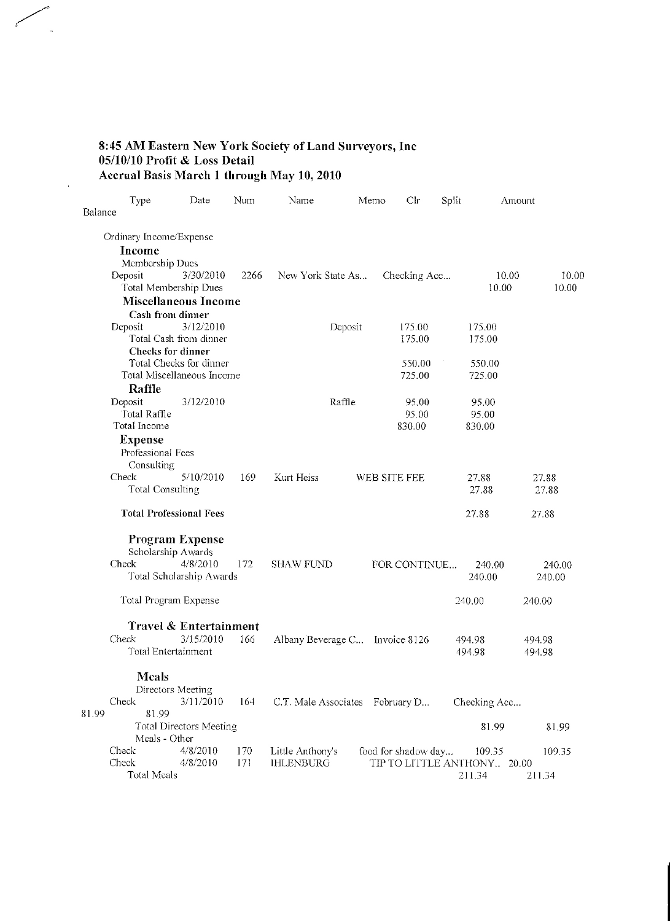# 8:45 AM Eastern New York Society of Land Surveyors, Inc<br>05/10/10 Profit & Loss Detail<br>Accrual Basis March 1 through May 10, 2010

 $\bar{\lambda}$ 

|         | Type                           | Date                     | Num  | Name                            | Memo    | Clr                         | Split |              | Amount |
|---------|--------------------------------|--------------------------|------|---------------------------------|---------|-----------------------------|-------|--------------|--------|
| Balance |                                |                          |      |                                 |         |                             |       |              |        |
|         | Ordinary Income/Expense        |                          |      |                                 |         |                             |       |              |        |
|         | Income                         |                          |      |                                 |         |                             |       |              |        |
|         | Membership Dues                |                          |      |                                 |         |                             |       |              |        |
|         | Deposit                        | 3/30/2010                | 2266 | New York State As               |         | Checking Acc                |       | 10.00        | 10.00  |
|         | Total Membership Dues          |                          |      |                                 |         |                             |       | 10.00        | 10.00  |
|         | <b>Miscellaneous Income</b>    |                          |      |                                 |         |                             |       |              |        |
|         | Cash from dinner               |                          |      |                                 |         |                             |       |              |        |
|         | Deposit                        | 3/12/2010                |      |                                 | Deposit | 175.00                      |       | 175.00       |        |
|         |                                | Total Cash from dinner   |      |                                 |         | 175.00                      |       | 175.00       |        |
|         | Checks for dinner              |                          |      |                                 |         |                             |       |              |        |
|         |                                | Total Checks for dinner  |      |                                 |         | 550.00                      |       | 550.00       |        |
|         | Total Miscellaneous Income     |                          |      |                                 |         | 725.00                      |       | 725.00       |        |
|         | Raffle                         |                          |      |                                 |         |                             |       |              |        |
|         | Deposit                        | 3/12/2010                |      |                                 | Raffle  | 95.00                       |       | 95.00        |        |
|         | Total Raffle                   |                          |      |                                 |         | 95.00                       |       | 95.00        |        |
|         | Total Income                   |                          |      |                                 |         | 830.00                      |       | 830.00       |        |
|         | <b>Expense</b>                 |                          |      |                                 |         |                             |       |              |        |
|         | Professional Fees              |                          |      |                                 |         |                             |       |              |        |
|         | Consulting                     |                          |      |                                 |         |                             |       |              |        |
|         | Check                          | 5/10/2010                | 169  | Kurt Heiss                      |         | WEB SITE FEE                |       | 27.88        | 27.88  |
|         | <b>Total Consulting</b>        |                          |      |                                 |         |                             |       | 27.88        | 27.88  |
|         | <b>Total Professional Fees</b> |                          |      |                                 |         |                             |       | 27.88        | 27.88  |
|         | <b>Program Expense</b>         |                          |      |                                 |         |                             |       |              |        |
|         | Scholarship Awards             |                          |      |                                 |         |                             |       |              |        |
|         | Check                          | 4/8/2010                 | 172  | <b>SHAW FUND</b>                |         | FOR CONTINUE                |       | 240.00       | 240.00 |
|         |                                | Total Scholarship Awards |      |                                 |         |                             |       | 240.00       | 240.00 |
|         | Total Program Expense          |                          |      |                                 |         |                             |       | 240.00       | 240.00 |
|         |                                |                          |      |                                 |         |                             |       |              |        |
|         |                                | Travel & Entertainment   |      |                                 |         |                             |       |              |        |
|         | Check                          | 3/15/2010                | 166  | Albany Beverage C Invoice 8126  |         |                             |       | 494.98       | 494.98 |
|         | Total Entertainment            |                          |      |                                 |         |                             |       | 494.98       | 494.98 |
|         | <b>Meals</b>                   |                          |      |                                 |         |                             |       |              |        |
|         | Directors Meeting              |                          |      |                                 |         |                             |       |              |        |
|         | Check                          | 3/11/2010                | 164  | C.T. Male Associates February D |         |                             |       | Checking Acc |        |
| 81.99   | 81.99                          |                          |      |                                 |         |                             |       |              |        |
|         |                                | Total Directors Meeting  |      |                                 |         |                             |       | 81.99        | 81.99  |
|         | Meals - Other                  |                          |      |                                 |         |                             |       |              |        |
|         | Check                          | 4/8/2010                 | 170  | Little Anthony's                |         | food for shadow day         |       | 109.35       | 109.35 |
|         | Check                          | 4/8/2010                 | 171  | <b>IHLENBURG</b>                |         | TIP TO LITTLE ANTHONY 20.00 |       |              |        |
|         | Total Meals                    |                          |      |                                 |         |                             |       | 211.34       | 211.34 |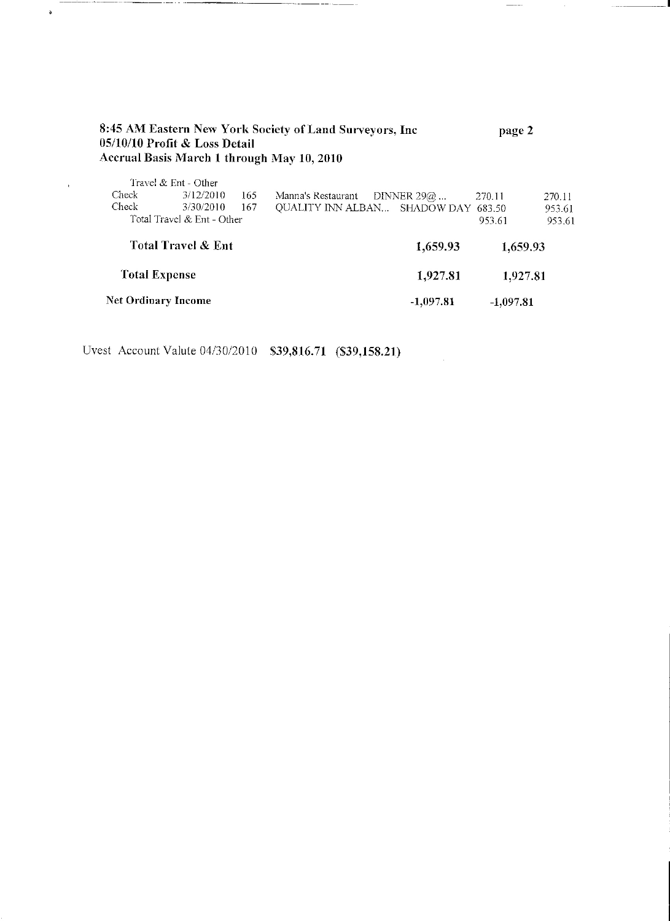|                    | 05/10/10 Profit & Loss Detail |     | 8:45 AM Eastern New York Society of Land Surveyors, Inc<br>Accrual Basis March 1 through May 10, 2010 |               | page 2   |        |
|--------------------|-------------------------------|-----|-------------------------------------------------------------------------------------------------------|---------------|----------|--------|
|                    | Travel & Ent - Other          |     |                                                                                                       |               |          |        |
| Check              | 3/12/2010                     | 165 | Manna's Restaurant                                                                                    | DINNER 29 $@$ | 270.11   | 270.11 |
| Check              | 3/30/2010                     | 167 | QUALITY INN ALBAN SHADOW DAY 683.50                                                                   |               |          | 953.61 |
|                    | Total Travel & Ent - Other    |     |                                                                                                       |               | 953.61   | 953.61 |
| Total Travel & Ent |                               |     |                                                                                                       | 1,659.93      | 1,659.93 |        |

------

 $\frac{1}{2}$ 

**Total Expense** 1,927.81 1,927.81 Net Ordinary Income  $-1,097.81$  $-1,097.81$ 

Uvest Account Valute 04/30/2010 \$39,816.71 (\$39,158.21)

 $\ddot{\phantom{a}}$ 

 $\epsilon$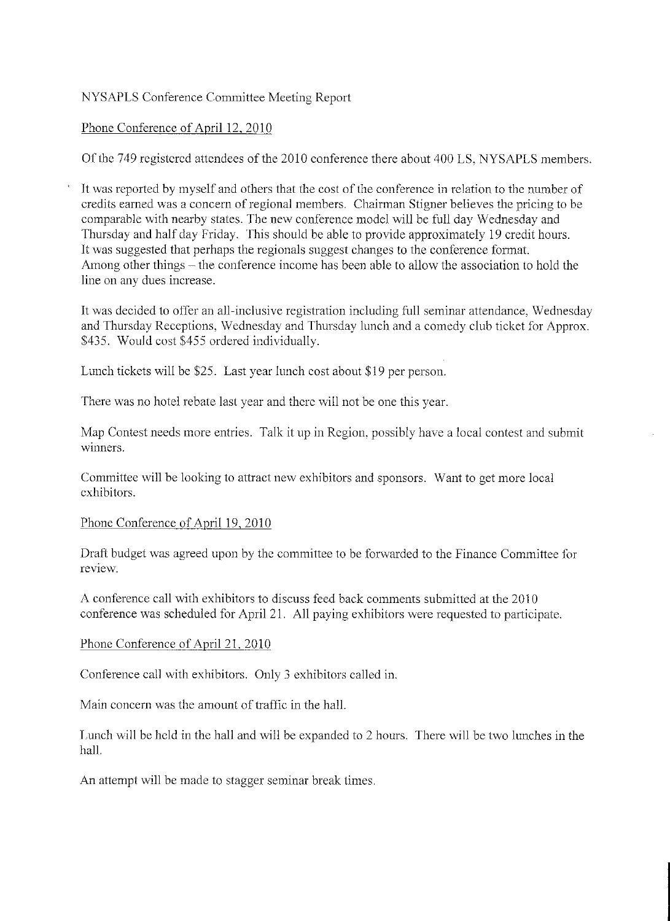## NYSAPLS Conference Committee Meeting Report

## Phone Conference of April 12, 2010

Of the 749 registered attendees of the 2010 conference there about 400 LS, NYSAPLS members.

It was reported by myself and others that the cost of the conference in relation to the number of credits earned was a concern of regional members. Chairman Stigner believes the pricing to be comparable with nearby states. The new conference model will be full day Wednesday and Thursday and half day Friday. This should be able to provide approximately 19 credit hours. It was suggested that perhaps the regionals suggest changes to the conference format. Among other things – the conference income has been able to allow the association to hold the line on any dues increase.

It was decided to offer an all-inclusive registration including full seminar attendance, Wednesday and Thursday Receptions, Wednesday and Thursday lunch and a comedy club ticket for Approx. \$435. Would cost \$455 ordered individually.

Lunch tickets will be \$25. Last year lunch cost about \$19 per person.

There was no hotel rebate last year and there will not be one this year.

Map Contest needs more entries. Talk it up in Region, possibly have a local contest and submit winners.

Committee will be looking to attract new exhibitors and sponsors. Want to get more local exhibitors.

#### Phone Conference of April 19, 2010

Draft budget was agreed upon by the committee to be forwarded to the Finance Committee for review.

A conference call with exhibitors to discuss feed back comments submitted at the 2010 conference was scheduled for April 21. All paying exhibitors were requested to participate.

## Phone Conference of April 21, 2010

Conference call with exhibitors. Only 3 exhibitors called in.

Main concern was the amount of traffic in the hall.

Lunch will be held in the hall and will be expanded to 2 hours. There will be two lunches in the hall.

An attempt will be made to stagger seminar break times.